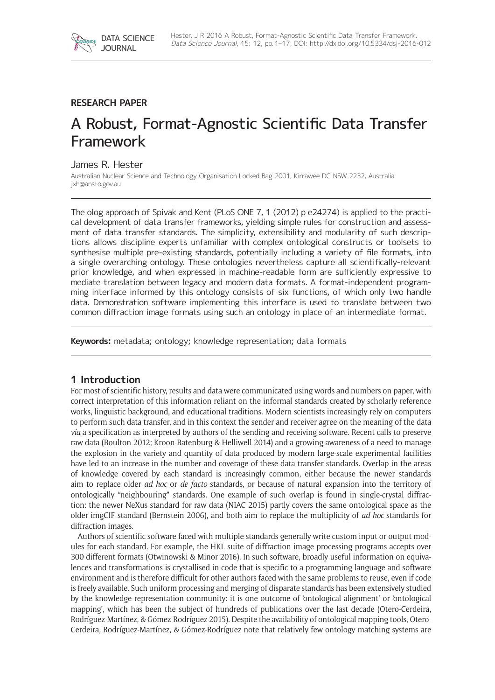

## **RESEARCH PAPER**

# A Robust, Format-Agnostic Scientific Data Transfer Framework

## James R. Hester

Australian Nuclear Science and Technology Organisation Locked Bag 2001, Kirrawee DC NSW 2232, Australia [jxh@ansto.gov.au](mailto:jxh@ansto.gov.au)

The olog approach of Spivak and Kent (PLoS ONE 7, 1 (2012) p e24274) is applied to the practical development of data transfer frameworks, yielding simple rules for construction and assessment of data transfer standards. The simplicity, extensibility and modularity of such descriptions allows discipline experts unfamiliar with complex ontological constructs or toolsets to synthesise multiple pre-existing standards, potentially including a variety of file formats, into a single overarching ontology. These ontologies nevertheless capture all scientifically-relevant prior knowledge, and when expressed in machine-readable form are sufficiently expressive to mediate translation between legacy and modern data formats. A format-independent programming interface informed by this ontology consists of six functions, of which only two handle data. Demonstration software implementing this interface is used to translate between two common diffraction image formats using such an ontology in place of an intermediate format.

**Keywords:** metadata; ontology; knowledge representation; data formats

## **1 Introduction**

For most of scientific history, results and data were communicated using words and numbers on paper, with correct interpretation of this information reliant on the informal standards created by scholarly reference works, linguistic background, and educational traditions. Modern scientists increasingly rely on computers to perform such data transfer, and in this context the sender and receiver agree on the meaning of the data *via* a specification as interpreted by authors of the sending and receiving software. Recent calls to preserve raw data (Boulton 2012; Kroon-Batenburg & Helliwell 2014) and a growing awareness of a need to manage the explosion in the variety and quantity of data produced by modern large-scale experimental facilities have led to an increase in the number and coverage of these data transfer standards. Overlap in the areas of knowledge covered by each standard is increasingly common, either because the newer standards aim to replace older *ad hoc* or *de facto* standards, or because of natural expansion into the territory of ontologically "neighbouring" standards. One example of such overlap is found in single-crystal diffraction: the newer NeXus standard for raw data (NIAC 2015) partly covers the same ontological space as the older imgCIF standard (Bernstein 2006), and both aim to replace the multiplicity of *ad hoc* standards for diffraction images.

Authors of scientific software faced with multiple standards generally write custom input or output modules for each standard. For example, the HKL suite of diffraction image processing programs accepts over 300 different formats (Otwinowski & Minor 2016). In such software, broadly useful information on equivalences and transformations is crystallised in code that is specific to a programming language and software environment and is therefore difficult for other authors faced with the same problems to reuse, even if code is freely available. Such uniform processing and merging of disparate standards has been extensively studied by the knowledge representation community: it is one outcome of 'ontological alignment' or 'ontological mapping', which has been the subject of hundreds of publications over the last decade (Otero-Cerdeira, Rodríguez-Martínez, & Gómez-Rodríguez 2015). Despite the availability of ontological mapping tools, Otero-Cerdeira, Rodríguez-Martínez, & Gómez-Rodríguez note that relatively few ontology matching systems are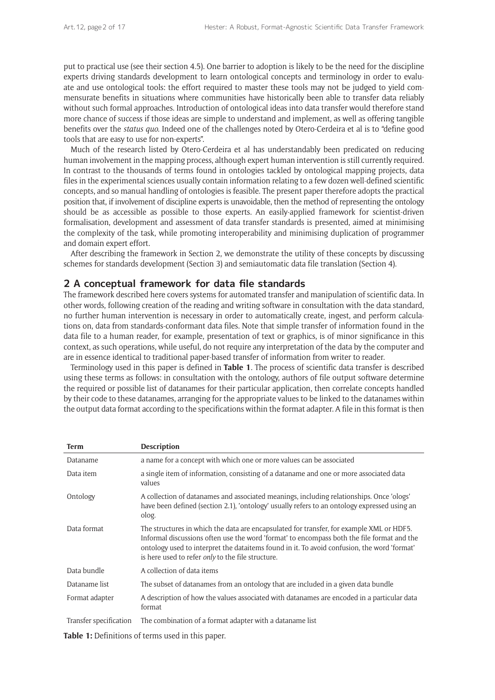put to practical use (see their section 4.5). One barrier to adoption is likely to be the need for the discipline experts driving standards development to learn ontological concepts and terminology in order to evaluate and use ontological tools: the effort required to master these tools may not be judged to yield commensurate benefits in situations where communities have historically been able to transfer data reliably without such formal approaches. Introduction of ontological ideas into data transfer would therefore stand more chance of success if those ideas are simple to understand and implement, as well as offering tangible benefits over the *status quo*. Indeed one of the challenges noted by Otero-Cerdeira et al is to "define good tools that are easy to use for non-experts".

Much of the research listed by Otero-Cerdeira et al has understandably been predicated on reducing human involvement in the mapping process, although expert human intervention is still currently required. In contrast to the thousands of terms found in ontologies tackled by ontological mapping projects, data files in the experimental sciences usually contain information relating to a few dozen well-defined scientific concepts, and so manual handling of ontologies is feasible. The present paper therefore adopts the practical position that, if involvement of discipline experts is unavoidable, then the method of representing the ontology should be as accessible as possible to those experts. An easily-applied framework for scientist-driven formalisation, development and assessment of data transfer standards is presented, aimed at minimising the complexity of the task, while promoting interoperability and minimising duplication of programmer and domain expert effort.

After describing the framework in Section 2, we demonstrate the utility of these concepts by discussing schemes for standards development (Section 3) and semiautomatic data file translation (Section 4).

#### **2 A conceptual framework for data file standards**

The framework described here covers systems for automated transfer and manipulation of scientific data. In other words, following creation of the reading and writing software in consultation with the data standard, no further human intervention is necessary in order to automatically create, ingest, and perform calculations on, data from standards-conformant data files. Note that simple transfer of information found in the data file to a human reader, for example, presentation of text or graphics, is of minor significance in this context, as such operations, while useful, do not require any interpretation of the data by the computer and are in essence identical to traditional paper-based transfer of information from writer to reader.

Terminology used in this paper is defined in **Table 1**. The process of scientific data transfer is described using these terms as follows: in consultation with the ontology, authors of file output software determine the required or possible list of datanames for their particular application, then correlate concepts handled by their code to these datanames, arranging for the appropriate values to be linked to the datanames within the output data format according to the specifications within the format adapter. A file in this format is then

| Term                   | <b>Description</b>                                                                                                                                                                                                                                                                                                                         |
|------------------------|--------------------------------------------------------------------------------------------------------------------------------------------------------------------------------------------------------------------------------------------------------------------------------------------------------------------------------------------|
| Dataname               | a name for a concept with which one or more values can be associated                                                                                                                                                                                                                                                                       |
| Data item              | a single item of information, consisting of a dataname and one or more associated data<br>values                                                                                                                                                                                                                                           |
| Ontology               | A collection of datanames and associated meanings, including relationships. Once 'ologs'<br>have been defined (section 2.1), 'ontology' usually refers to an ontology expressed using an<br>olog.                                                                                                                                          |
| Data format            | The structures in which the data are encapsulated for transfer, for example XML or HDF5.<br>Informal discussions often use the word 'format' to encompass both the file format and the<br>ontology used to interpret the dataitems found in it. To avoid confusion, the word 'format'<br>is here used to refer only to the file structure. |
| Data bundle            | A collection of data items                                                                                                                                                                                                                                                                                                                 |
| Dataname list          | The subset of datanames from an ontology that are included in a given data bundle                                                                                                                                                                                                                                                          |
| Format adapter         | A description of how the values associated with datanames are encoded in a particular data<br>format                                                                                                                                                                                                                                       |
| Transfer specification | The combination of a format adapter with a dataname list                                                                                                                                                                                                                                                                                   |

**Table 1:** Definitions of terms used in this paper.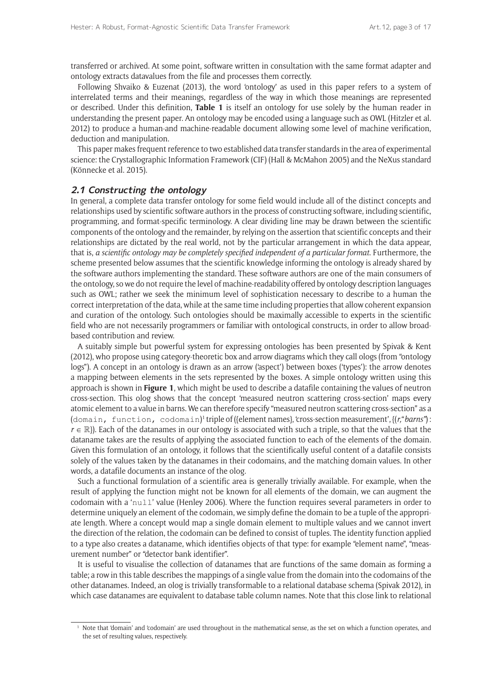transferred or archived. At some point, software written in consultation with the same format adapter and ontology extracts datavalues from the file and processes them correctly.

Following Shvaiko & Euzenat (2013), the word 'ontology' as used in this paper refers to a system of interrelated terms and their meanings, regardless of the way in which those meanings are represented or described. Under this definition, **Table 1** is itself an ontology for use solely by the human reader in understanding the present paper. An ontology may be encoded using a language such as OWL (Hitzler et al. 2012) to produce a human-and machine-readable document allowing some level of machine verification, deduction and manipulation.

This paper makes frequent reference to two established data transfer standards in the area of experimental science: the Crystallographic Information Framework (CIF) (Hall & McMahon 2005) and the NeXus standard (Könnecke et al. 2015).

#### **2.1 Constructing the ontology**

In general, a complete data transfer ontology for some field would include all of the distinct concepts and relationships used by scientific software authors in the process of constructing software, including scientific, programming, and format-specific terminology. A clear dividing line may be drawn between the scientific components of the ontology and the remainder, by relying on the assertion that scientific concepts and their relationships are dictated by the real world, not by the particular arrangement in which the data appear, that is, *a scientific ontology may be completely specified independent of a particular format*. Furthermore, the scheme presented below assumes that the scientific knowledge informing the ontology is already shared by the software authors implementing the standard. These software authors are one of the main consumers of the ontology, so we do not require the level of machine-readability offered by ontology description languages such as OWL; rather we seek the minimum level of sophistication necessary to describe to a human the correct interpretation of the data, while at the same time including properties that allow coherent expansion and curation of the ontology. Such ontologies should be maximally accessible to experts in the scientific field who are not necessarily programmers or familiar with ontological constructs, in order to allow broadbased contribution and review.

A suitably simple but powerful system for expressing ontologies has been presented by Spivak & Kent (2012), who propose using category-theoretic box and arrow diagrams which they call ologs (from "ontology logs"). A concept in an ontology is drawn as an arrow ('aspect') between boxes ('types'): the arrow denotes a mapping between elements in the sets represented by the boxes. A simple ontology written using this approach is shown in **Figure 1**, which might be used to describe a datafile containing the values of neutron cross-section. This olog shows that the concept 'measured neutron scattering cross-section' maps every atomic element to a value in barns. We can therefore specify "measured neutron scattering cross-section" as a (domain, function, codomain)'triple of ({element names}, cross-section measurement', {(*r,"barns"*):  $r \in \mathbb{R}$ ). Each of the datanames in our ontology is associated with such a triple, so that the values that the dataname takes are the results of applying the associated function to each of the elements of the domain. Given this formulation of an ontology, it follows that the scientifically useful content of a datafile consists solely of the values taken by the datanames in their codomains, and the matching domain values. In other words, a datafile documents an instance of the olog.

Such a functional formulation of a scientific area is generally trivially available. For example, when the result of applying the function might not be known for all elements of the domain, we can augment the codomain with a 'null' value (Henley 2006). Where the function requires several parameters in order to determine uniquely an element of the codomain, we simply define the domain to be a tuple of the appropriate length. Where a concept would map a single domain element to multiple values and we cannot invert the direction of the relation, the codomain can be defined to consist of tuples. The identity function applied to a type also creates a dataname, which identifies objects of that type: for example "element name", "measurement number" or "detector bank identifier".

It is useful to visualise the collection of datanames that are functions of the same domain as forming a table; a row in this table describes the mappings of a single value from the domain into the codomains of the other datanames. Indeed, an olog is trivially transformable to a relational database schema (Spivak 2012), in which case datanames are equivalent to database table column names. Note that this close link to relational

<sup>1</sup> Note that 'domain' and 'codomain' are used throughout in the mathematical sense, as the set on which a function operates, and the set of resulting values, respectively.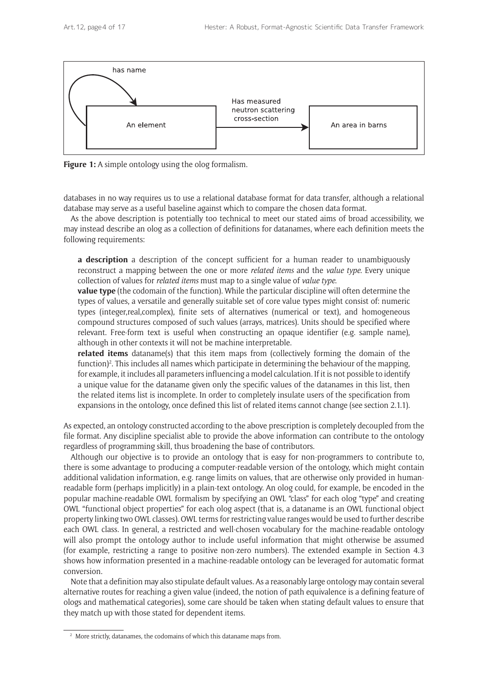

**Figure 1:** A simple ontology using the olog formalism.

databases in no way requires us to use a relational database format for data transfer, although a relational database may serve as a useful baseline against which to compare the chosen data format.

As the above description is potentially too technical to meet our stated aims of broad accessibility, we may instead describe an olog as a collection of definitions for datanames, where each definition meets the following requirements:

**a description** a description of the concept sufficient for a human reader to unambiguously reconstruct a mapping between the one or more *related items* and the *value type*. Every unique collection of values for *related items* must map to a single value of *value type*.

**value type** (the codomain of the function). While the particular discipline will often determine the types of values, a versatile and generally suitable set of core value types might consist of: numeric types (integer,real,complex), finite sets of alternatives (numerical or text), and homogeneous compound structures composed of such values (arrays, matrices). Units should be specified where relevant. Free-form text is useful when constructing an opaque identifier (e.g. sample name), although in other contexts it will not be machine interpretable.

**related items** dataname(s) that this item maps from (collectively forming the domain of the function)<sup>2</sup>. This includes all names which participate in determining the behaviour of the mapping, for example, it includes all parameters influencing a model calculation. If it is not possible to identify a unique value for the dataname given only the specific values of the datanames in this list, then the related items list is incomplete. In order to completely insulate users of the specification from expansions in the ontology, once defined this list of related items cannot change (see section 2.1.1).

As expected, an ontology constructed according to the above prescription is completely decoupled from the file format. Any discipline specialist able to provide the above information can contribute to the ontology regardless of programming skill, thus broadening the base of contributors.

Although our objective is to provide an ontology that is easy for non-programmers to contribute to, there is some advantage to producing a computer-readable version of the ontology, which might contain additional validation information, e.g. range limits on values, that are otherwise only provided in humanreadable form (perhaps implicitly) in a plain-text ontology. An olog could, for example, be encoded in the popular machine-readable OWL formalism by specifying an OWL "class" for each olog "type" and creating OWL "functional object properties" for each olog aspect (that is, a dataname is an OWL functional object property linking two OWL classes). OWL terms for restricting value ranges would be used to further describe each OWL class. In general, a restricted and well-chosen vocabulary for the machine-readable ontology will also prompt the ontology author to include useful information that might otherwise be assumed (for example, restricting a range to positive non-zero numbers). The extended example in Section 4.3 shows how information presented in a machine-readable ontology can be leveraged for automatic format conversion.

Note that a definition may also stipulate default values. As a reasonably large ontology may contain several alternative routes for reaching a given value (indeed, the notion of path equivalence is a defining feature of ologs and mathematical categories), some care should be taken when stating default values to ensure that they match up with those stated for dependent items.

<sup>&</sup>lt;sup>2</sup> More strictly, datanames, the codomains of which this dataname maps from.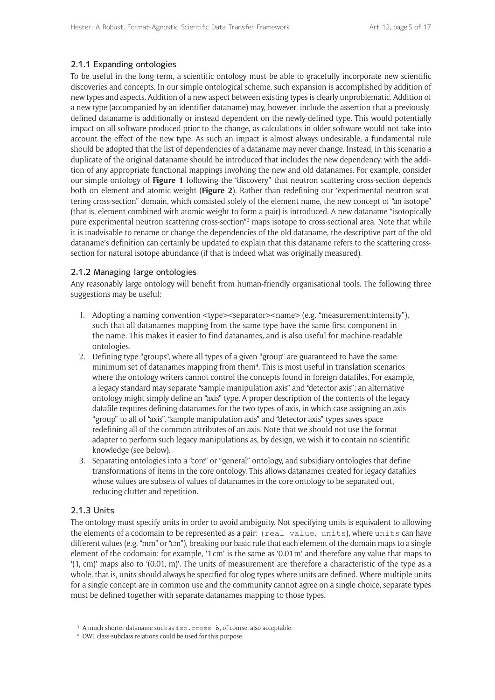## 2.1.1 Expanding ontologies

To be useful in the long term, a scientific ontology must be able to gracefully incorporate new scientific discoveries and concepts. In our simple ontological scheme, such expansion is accomplished by addition of new types and aspects. Addition of a new aspect between existing types is clearly unproblematic. Addition of a new type (accompanied by an identifier dataname) may, however, include the assertion that a previouslydefined dataname is additionally or instead dependent on the newly-defined type. This would potentially impact on all software produced prior to the change, as calculations in older software would not take into account the effect of the new type. As such an impact is almost always undesirable, a fundamental rule should be adopted that the list of dependencies of a dataname may never change. Instead, in this scenario a duplicate of the original dataname should be introduced that includes the new dependency, with the addition of any appropriate functional mappings involving the new and old datanames. For example, consider our simple ontology of **Figure 1** following the "discovery" that neutron scattering cross-section depends both on element and atomic weight (**Figure 2**). Rather than redefining our "experimental neutron scattering cross-section" domain, which consisted solely of the element name, the new concept of "an isotope" (that is, element combined with atomic weight to form a pair) is introduced. A new dataname "isotopically pure experimental neutron scattering cross-section<sup>"3</sup> maps isotope to cross-sectional area. Note that while it is inadvisable to rename or change the dependencies of the old dataname, the descriptive part of the old dataname's definition can certainly be updated to explain that this dataname refers to the scattering crosssection for natural isotope abundance (if that is indeed what was originally measured).

## 2.1.2 Managing large ontologies

Any reasonably large ontology will benefit from human-friendly organisational tools. The following three suggestions may be useful:

- 1. Adopting a naming convention <type><separator><name> (e.g. "measurement:intensity"), such that all datanames mapping from the same type have the same first component in the name. This makes it easier to find datanames, and is also useful for machine-readable ontologies.
- 2. Defining type "groups", where all types of a given "group" are guaranteed to have the same minimum set of datanames mapping from them<sup>4</sup>. This is most useful in translation scenarios where the ontology writers cannot control the concepts found in foreign datafiles. For example, a legacy standard may separate "sample manipulation axis" and "detector axis"; an alternative ontology might simply define an "axis" type. A proper description of the contents of the legacy datafile requires defining datanames for the two types of axis, in which case assigning an axis "group" to all of "axis", "sample manipulation axis" and "detector axis" types saves space redefining all of the common attributes of an axis. Note that we should not use the format adapter to perform such legacy manipulations as, by design, we wish it to contain no scientific knowledge (see below).
- 3. Separating ontologies into a "core" or "general" ontology, and subsidiary ontologies that define transformations of items in the core ontology. This allows datanames created for legacy datafiles whose values are subsets of values of datanames in the core ontology to be separated out, reducing clutter and repetition.

## 2.1.3 Units

The ontology must specify units in order to avoid ambiguity. Not specifying units is equivalent to allowing the elements of a codomain to be represented as a pair: (real value, units), where units can have different values (e.g. "mm" or "cm"), breaking our basic rule that each element of the domain maps to a single element of the codomain: for example, '1cm' is the same as '0.01m' and therefore any value that maps to '(1, cm)' maps also to '(0.01, m)'. The units of measurement are therefore a characteristic of the type as a whole, that is, units should always be specified for olog types where units are defined. Where multiple units for a single concept are in common use and the community cannot agree on a single choice, separate types must be defined together with separate datanames mapping to those types.

<sup>&</sup>lt;sup>3</sup> A much shorter dataname such as iso.cross is, of course, also acceptable.

<sup>4</sup> OWL class-subclass relations could be used for this purpose.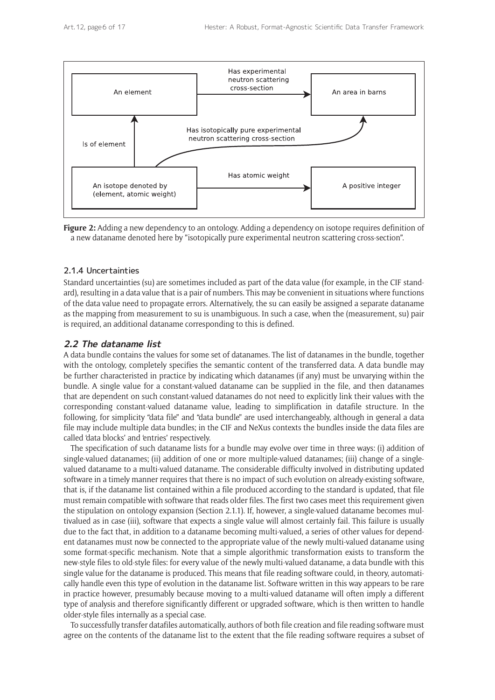



## 2.1.4 Uncertainties

Standard uncertainties (su) are sometimes included as part of the data value (for example, in the CIF standard), resulting in a data value that is a pair of numbers. This may be convenient in situations where functions of the data value need to propagate errors. Alternatively, the su can easily be assigned a separate dataname as the mapping from measurement to su is unambiguous. In such a case, when the (measurement, su) pair is required, an additional dataname corresponding to this is defined.

## **2.2 The dataname list**

A data bundle contains the values for some set of datanames. The list of datanames in the bundle, together with the ontology, completely specifies the semantic content of the transferred data. A data bundle may be further characteristed in practice by indicating which datanames (if any) must be unvarying within the bundle. A single value for a constant-valued dataname can be supplied in the file, and then datanames that are dependent on such constant-valued datanames do not need to explicitly link their values with the corresponding constant-valued dataname value, leading to simplification in datafile structure. In the following, for simplicity "data file" and "data bundle" are used interchangeably, although in general a data file may include multiple data bundles; in the CIF and NeXus contexts the bundles inside the data files are called 'data blocks' and 'entries' respectively.

The specification of such dataname lists for a bundle may evolve over time in three ways: (i) addition of single-valued datanames; (ii) addition of one or more multiple-valued datanames; (iii) change of a singlevalued dataname to a multi-valued dataname. The considerable difficulty involved in distributing updated software in a timely manner requires that there is no impact of such evolution on already-existing software, that is, if the dataname list contained within a file produced according to the standard is updated, that file must remain compatible with software that reads older files. The first two cases meet this requirement given the stipulation on ontology expansion (Section 2.1.1). If, however, a single-valued dataname becomes multivalued as in case (iii), software that expects a single value will almost certainly fail. This failure is usually due to the fact that, in addition to a dataname becoming multi-valued, a series of other values for dependent datanames must now be connected to the appropriate value of the newly multi-valued dataname using some format-specific mechanism. Note that a simple algorithmic transformation exists to transform the new-style files to old-style files: for every value of the newly multi-valued dataname, a data bundle with this single value for the dataname is produced. This means that file reading software could, in theory, automatically handle even this type of evolution in the dataname list. Software written in this way appears to be rare in practice however, presumably because moving to a multi-valued dataname will often imply a different type of analysis and therefore significantly different or upgraded software, which is then written to handle older-style files internally as a special case.

To successfully transfer datafiles automatically, authors of both file creation and file reading software must agree on the contents of the dataname list to the extent that the file reading software requires a subset of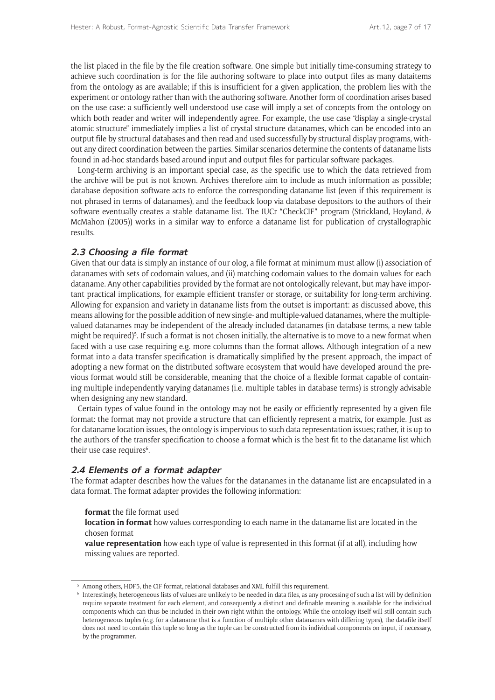the list placed in the file by the file creation software. One simple but initially time-consuming strategy to achieve such coordination is for the file authoring software to place into output files as many dataitems from the ontology as are available; if this is insufficient for a given application, the problem lies with the experiment or ontology rather than with the authoring software. Another form of coordination arises based on the use case: a sufficiently well-understood use case will imply a set of concepts from the ontology on which both reader and writer will independently agree. For example, the use case "display a single-crystal atomic structure" immediately implies a list of crystal structure datanames, which can be encoded into an output file by structural databases and then read and used successfully by structural display programs, without any direct coordination between the parties. Similar scenarios determine the contents of dataname lists found in ad-hoc standards based around input and output files for particular software packages.

Long-term archiving is an important special case, as the specific use to which the data retrieved from the archive will be put is not known. Archives therefore aim to include as much information as possible; database deposition software acts to enforce the corresponding dataname list (even if this requirement is not phrased in terms of datanames), and the feedback loop via database depositors to the authors of their software eventually creates a stable dataname list. The IUCr "CheckCIF" program (Strickland, Hoyland, & McMahon (2005)) works in a similar way to enforce a dataname list for publication of crystallographic results.

## **2.3 Choosing a file format**

Given that our data is simply an instance of our olog, a file format at minimum must allow (i) association of datanames with sets of codomain values, and (ii) matching codomain values to the domain values for each dataname. Any other capabilities provided by the format are not ontologically relevant, but may have important practical implications, for example efficient transfer or storage, or suitability for long-term archiving. Allowing for expansion and variety in dataname lists from the outset is important: as discussed above, this means allowing for the possible addition of new single- and multiple-valued datanames, where the multiplevalued datanames may be independent of the already-included datanames (in database terms, a new table might be required)<sup>5</sup>. If such a format is not chosen initially, the alternative is to move to a new format when faced with a use case requiring e.g. more columns than the format allows. Although integration of a new format into a data transfer specification is dramatically simplified by the present approach, the impact of adopting a new format on the distributed software ecosystem that would have developed around the previous format would still be considerable, meaning that the choice of a flexible format capable of containing multiple independently varying datanames (i.e. multiple tables in database terms) is strongly advisable when designing any new standard.

Certain types of value found in the ontology may not be easily or efficiently represented by a given file format: the format may not provide a structure that can efficiently represent a matrix, for example. Just as for dataname location issues, the ontology is impervious to such data representation issues; rather, it is up to the authors of the transfer specification to choose a format which is the best fit to the dataname list which their use case requires<sup>6</sup>.

## **2.4 Elements of a format adapter**

The format adapter describes how the values for the datanames in the dataname list are encapsulated in a data format. The format adapter provides the following information:

**format** the file format used

**location in format** how values corresponding to each name in the dataname list are located in the chosen format

**value representation** how each type of value is represented in this format (if at all), including how missing values are reported.

Among others, HDF5, the CIF format, relational databases and XML fulfill this requirement.

<sup>6</sup> Interestingly, heterogeneous lists of values are unlikely to be needed in data files, as any processing of such a list will by definition require separate treatment for each element, and consequently a distinct and definable meaning is available for the individual components which can thus be included in their own right within the ontology. While the ontology itself will still contain such heterogeneous tuples (e.g. for a dataname that is a function of multiple other datanames with differing types), the datafile itself does not need to contain this tuple so long as the tuple can be constructed from its individual components on input, if necessary, by the programmer.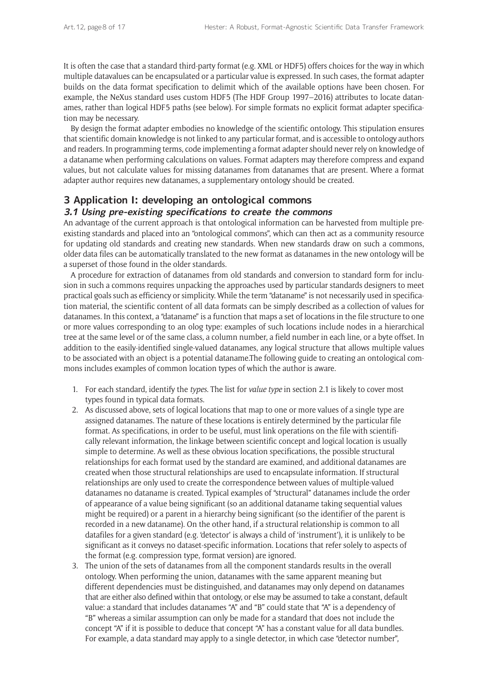It is often the case that a standard third-party format (e.g. XML or HDF5) offers choices for the way in which multiple datavalues can be encapsulated or a particular value is expressed. In such cases, the format adapter builds on the data format specification to delimit which of the available options have been chosen. For example, the NeXus standard uses custom HDF5 (The HDF Group 1997–2016) attributes to locate datanames, rather than logical HDF5 paths (see below). For simple formats no explicit format adapter specification may be necessary.

By design the format adapter embodies no knowledge of the scientific ontology. This stipulation ensures that scientific domain knowledge is not linked to any particular format, and is accessible to ontology authors and readers. In programming terms, code implementing a format adapter should never rely on knowledge of a dataname when performing calculations on values. Format adapters may therefore compress and expand values, but not calculate values for missing datanames from datanames that are present. Where a format adapter author requires new datanames, a supplementary ontology should be created.

# **3 Application I: developing an ontological commons**

### **3.1 Using pre-existing specifications to create the commons**

An advantage of the current approach is that ontological information can be harvested from multiple preexisting standards and placed into an "ontological commons", which can then act as a community resource for updating old standards and creating new standards. When new standards draw on such a commons, older data files can be automatically translated to the new format as datanames in the new ontology will be a superset of those found in the older standards.

A procedure for extraction of datanames from old standards and conversion to standard form for inclusion in such a commons requires unpacking the approaches used by particular standards designers to meet practical goals such as efficiency or simplicity. While the term "dataname" is not necessarily used in specification material, the scientific content of all data formats can be simply described as a collection of values for datanames. In this context, a "dataname" is a function that maps a set of locations in the file structure to one or more values corresponding to an olog type: examples of such locations include nodes in a hierarchical tree at the same level or of the same class, a column number, a field number in each line, or a byte offset. In addition to the easily-identified single-valued datanames, any logical structure that allows multiple values to be associated with an object is a potential dataname.The following guide to creating an ontological commons includes examples of common location types of which the author is aware.

- 1. For each standard, identify the *types*. The list for *value type* in section 2.1 is likely to cover most types found in typical data formats.
- 2. As discussed above, sets of logical locations that map to one or more values of a single type are assigned datanames. The nature of these locations is entirely determined by the particular file format. As specifications, in order to be useful, must link operations on the file with scientifically relevant information, the linkage between scientific concept and logical location is usually simple to determine. As well as these obvious location specifications, the possible structural relationships for each format used by the standard are examined, and additional datanames are created when those structural relationships are used to encapsulate information. If structural relationships are only used to create the correspondence between values of multiple-valued datanames no dataname is created. Typical examples of "structural" datanames include the order of appearance of a value being significant (so an additional dataname taking sequential values might be required) or a parent in a hierarchy being significant (so the identifier of the parent is recorded in a new dataname). On the other hand, if a structural relationship is common to all datafiles for a given standard (e.g. 'detector' is always a child of 'instrument'), it is unlikely to be significant as it conveys no dataset-specific information. Locations that refer solely to aspects of the format (e.g. compression type, format version) are ignored.
- 3. The union of the sets of datanames from all the component standards results in the overall ontology. When performing the union, datanames with the same apparent meaning but different dependencies must be distinguished, and datanames may only depend on datanames that are either also defined within that ontology, or else may be assumed to take a constant, default value: a standard that includes datanames "A" and "B" could state that "A" is a dependency of "B" whereas a similar assumption can only be made for a standard that does not include the concept "A" if it is possible to deduce that concept "A" has a constant value for all data bundles. For example, a data standard may apply to a single detector, in which case "detector number",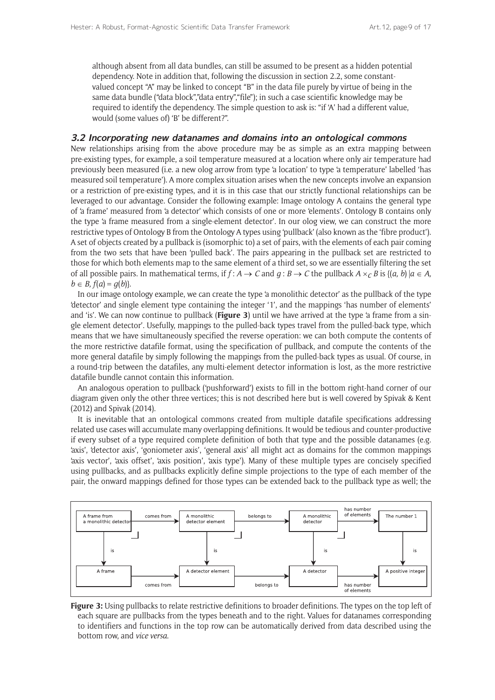although absent from all data bundles, can still be assumed to be present as a hidden potential dependency. Note in addition that, following the discussion in section 2.2, some constantvalued concept "A" may be linked to concept "B" in the data file purely by virtue of being in the same data bundle ("data block","data entry","file"); in such a case scientific knowledge may be required to identify the dependency. The simple question to ask is: "if 'A' had a different value, would (some values of) 'B' be different?".

#### **3.2 Incorporating new datanames and domains into an ontological commons**

New relationships arising from the above procedure may be as simple as an extra mapping between pre-existing types, for example, a soil temperature measured at a location where only air temperature had previously been measured (i.e. a new olog arrow from type 'a location' to type 'a temperature' labelled 'has measured soil temperature'). A more complex situation arises when the new concepts involve an expansion or a restriction of pre-existing types, and it is in this case that our strictly functional relationships can be leveraged to our advantage. Consider the following example: Image ontology A contains the general type of 'a frame' measured from 'a detector' which consists of one or more 'elements'. Ontology B contains only the type 'a frame measured from a single-element detector'. In our olog view, we can construct the more restrictive types of Ontology B from the Ontology A types using 'pullback' (also known as the 'fibre product'). A set of objects created by a pullback is (isomorphic to) a set of pairs, with the elements of each pair coming from the two sets that have been 'pulled back'. The pairs appearing in the pullback set are restricted to those for which both elements map to the same element of a third set, so we are essentially filtering the set of all possible pairs. In mathematical terms, if  $f: A \to C$  and  $q: B \to C$  the pullback  $A \times_C B$  is  $\{(a, b) | a \in A, b \in C\}$ *b* ∈ *B*,  $f(a) = g(b)$ }.

In our image ontology example, we can create the type 'a monolithic detector' as the pullback of the type 'detector' and single element type containing the integer '1', and the mappings 'has number of elements' and 'is'. We can now continue to pullback (**Figure 3**) until we have arrived at the type 'a frame from a single element detector'. Usefully, mappings to the pulled-back types travel from the pulled-back type, which means that we have simultaneously specified the reverse operation: we can both compute the contents of the more restrictive datafile format, using the specification of pullback, and compute the contents of the more general datafile by simply following the mappings from the pulled-back types as usual. Of course, in a round-trip between the datafiles, any multi-element detector information is lost, as the more restrictive datafile bundle cannot contain this information.

An analogous operation to pullback ('pushforward') exists to fill in the bottom right-hand corner of our diagram given only the other three vertices; this is not described here but is well covered by Spivak & Kent (2012) and Spivak (2014).

It is inevitable that an ontological commons created from multiple datafile specifications addressing related use cases will accumulate many overlapping definitions. It would be tedious and counter-productive if every subset of a type required complete definition of both that type and the possible datanames (e.g. 'axis', 'detector axis', 'goniometer axis', 'general axis' all might act as domains for the common mappings 'axis vector', 'axis offset', 'axis position', 'axis type'). Many of these multiple types are concisely specified using pullbacks, and as pullbacks explicitly define simple projections to the type of each member of the pair, the onward mappings defined for those types can be extended back to the pullback type as well; the



**Figure 3:** Using pullbacks to relate restrictive definitions to broader definitions. The types on the top left of each square are pullbacks from the types beneath and to the right. Values for datanames corresponding to identifiers and functions in the top row can be automatically derived from data described using the bottom row, and *vice versa*.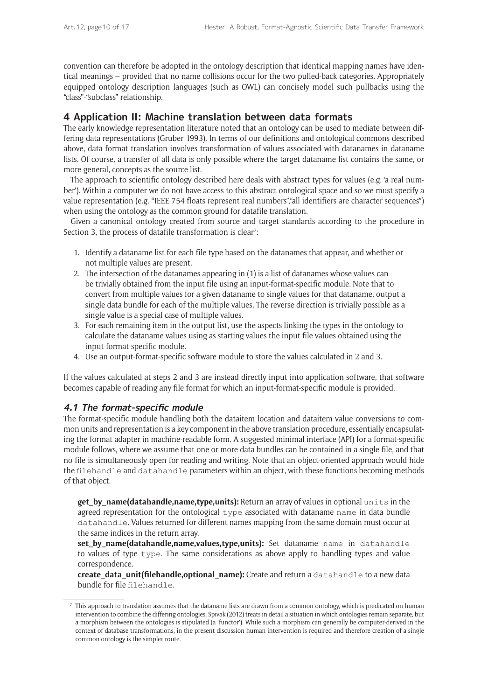convention can therefore be adopted in the ontology description that identical mapping names have identical meanings – provided that no name collisions occur for the two pulled-back categories. Appropriately equipped ontology description languages (such as OWL) can concisely model such pullbacks using the "class"-"subclass" relationship.

# **4 Application II: Machine translation between data formats**

The early knowledge representation literature noted that an ontology can be used to mediate between differing data representations (Gruber 1993). In terms of our definitions and ontological commons described above, data format translation involves transformation of values associated with datanames in dataname lists. Of course, a transfer of all data is only possible where the target dataname list contains the same, or more general, concepts as the source list.

The approach to scientific ontology described here deals with abstract types for values (e.g. 'a real number'). Within a computer we do not have access to this abstract ontological space and so we must specify a value representation (e.g. "IEEE 754 floats represent real numbers","all identifiers are character sequences") when using the ontology as the common ground for datafile translation.

Given a canonical ontology created from source and target standards according to the procedure in Section 3, the process of datafile transformation is clear<sup>7</sup>:

- 1. Identify a dataname list for each file type based on the datanames that appear, and whether or not multiple values are present.
- 2. The intersection of the datanames appearing in (1) is a list of datanames whose values can be trivially obtained from the input file using an input-format-specific module. Note that to convert from multiple values for a given dataname to single values for that dataname, output a single data bundle for each of the multiple values. The reverse direction is trivially possible as a single value is a special case of multiple values.
- 3. For each remaining item in the output list, use the aspects linking the types in the ontology to calculate the dataname values using as starting values the input file values obtained using the input-format-specific module.
- 4. Use an output-format-specific software module to store the values calculated in 2 and 3.

If the values calculated at steps 2 and 3 are instead directly input into application software, that software becomes capable of reading any file format for which an input-format-specific module is provided.

## **4.1 The format-specific module**

The format-specific module handling both the dataitem location and dataitem value conversions to common units and representation is a key component in the above translation procedure, essentially encapsulating the format adapter in machine-readable form. A suggested minimal interface (API) for a format-specific module follows, where we assume that one or more data bundles can be contained in a single file, and that no file is simultaneously open for reading and writing. Note that an object-oriented approach would hide the filehandle and datahandle parameters within an object, with these functions becoming methods of that object.

**get\_by\_name(datahandle,name,type,units):** Return an array of values in optional units in the agreed representation for the ontological type associated with dataname name in data bundle datahandle. Values returned for different names mapping from the same domain must occur at the same indices in the return array.

**set by name(datahandle,name,values,type,units):** Set dataname name in datahandle to values of type type. The same considerations as above apply to handling types and value correspondence.

**create\_data\_unit(filehandle,optional\_name):** Create and return a datahandle to a new data bundle for file filehandle.

<sup>7</sup> This approach to translation assumes that the dataname lists are drawn from a common ontology, which is predicated on human intervention to combine the differing ontologies. Spivak (2012) treats in detail a situation in which ontologies remain separate, but a morphism between the ontologies is stipulated (a 'functor'). While such a morphism can generally be computer-derived in the context of database transformations, in the present discussion human intervention is required and therefore creation of a single common ontology is the simpler route.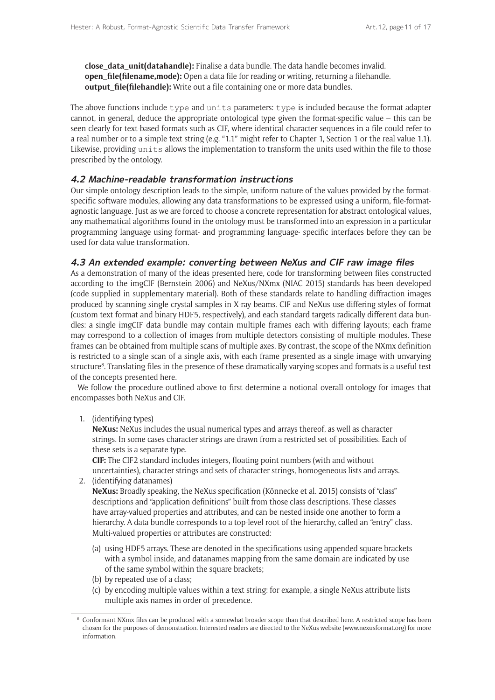**close\_data\_unit(datahandle):** Finalise a data bundle. The data handle becomes invalid. **open\_file(filename,mode):** Open a data file for reading or writing, returning a filehandle. **output file(filehandle):** Write out a file containing one or more data bundles.

The above functions include type and units parameters: type is included because the format adapter cannot, in general, deduce the appropriate ontological type given the format-specific value – this can be seen clearly for text-based formats such as CIF, where identical character sequences in a file could refer to a real number or to a simple text string (e.g. "1.1" might refer to Chapter 1, Section 1 or the real value 1.1). Likewise, providing units allows the implementation to transform the units used within the file to those prescribed by the ontology.

### **4.2 Machine-readable transformation instructions**

Our simple ontology description leads to the simple, uniform nature of the values provided by the formatspecific software modules, allowing any data transformations to be expressed using a uniform, file-formatagnostic language. Just as we are forced to choose a concrete representation for abstract ontological values, any mathematical algorithms found in the ontology must be transformed into an expression in a particular programming language using format- and programming language- specific interfaces before they can be used for data value transformation.

#### **4.3 An extended example: converting between NeXus and CIF raw image files**

As a demonstration of many of the ideas presented here, code for transforming between files constructed according to the imgCIF (Bernstein 2006) and NeXus/NXmx (NIAC 2015) standards has been developed (code supplied in supplementary material). Both of these standards relate to handling diffraction images produced by scanning single crystal samples in X-ray beams. CIF and NeXus use differing styles of format (custom text format and binary HDF5, respectively), and each standard targets radically different data bundles: a single imgCIF data bundle may contain multiple frames each with differing layouts; each frame may correspond to a collection of images from multiple detectors consisting of multiple modules. These frames can be obtained from multiple scans of multiple axes. By contrast, the scope of the NXmx definition is restricted to a single scan of a single axis, with each frame presented as a single image with unvarying structure8 . Translating files in the presence of these dramatically varying scopes and formats is a useful test of the concepts presented here.

We follow the procedure outlined above to first determine a notional overall ontology for images that encompasses both NeXus and CIF.

1. (identifying types)

**NeXus:** NeXus includes the usual numerical types and arrays thereof, as well as character strings. In some cases character strings are drawn from a restricted set of possibilities. Each of these sets is a separate type.

**CIF:** The CIF2 standard includes integers, floating point numbers (with and without uncertainties), character strings and sets of character strings, homogeneous lists and arrays.

- 2. (identifying datanames) **NeXus:** Broadly speaking, the NeXus specification (Könnecke et al. 2015) consists of "class" descriptions and "application definitions" built from those class descriptions. These classes have array-valued properties and attributes, and can be nested inside one another to form a hierarchy. A data bundle corresponds to a top-level root of the hierarchy, called an "entry" class. Multi-valued properties or attributes are constructed:
	- (a) using HDF5 arrays. These are denoted in the specifications using appended square brackets with a symbol inside, and datanames mapping from the same domain are indicated by use of the same symbol within the square brackets;
	- (b) by repeated use of a class;
	- (c) by encoding multiple values within a text string: for example, a single NeXus attribute lists multiple axis names in order of precedence.

<sup>&</sup>lt;sup>8</sup> Conformant NXmx files can be produced with a somewhat broader scope than that described here. A restricted scope has been chosen for the purposes of demonstration. Interested readers are directed to the NeXus website (<www.nexusformat.org>) for more information.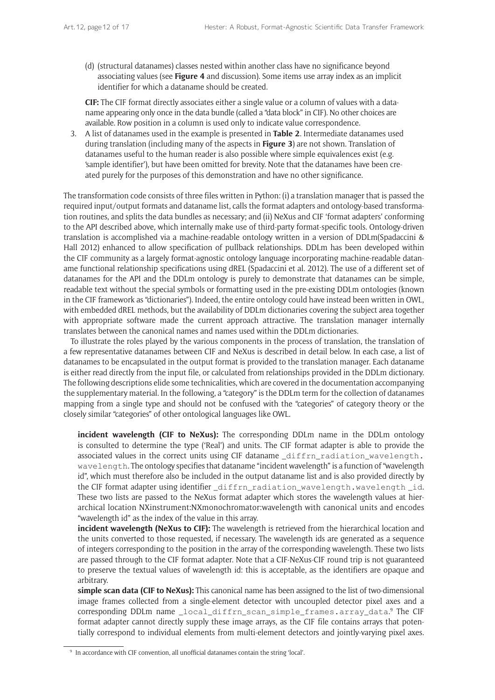(d) (structural datanames) classes nested within another class have no significance beyond associating values (see **Figure 4** and discussion). Some items use array index as an implicit identifier for which a dataname should be created.

**CIF:** The CIF format directly associates either a single value or a column of values with a dataname appearing only once in the data bundle (called a "data block" in CIF). No other choices are available. Row position in a column is used only to indicate value correspondence.

3. A list of datanames used in the example is presented in **Table 2**. Intermediate datanames used during translation (including many of the aspects in **Figure 3**) are not shown. Translation of datanames useful to the human reader is also possible where simple equivalences exist (e.g. 'sample identifier'), but have been omitted for brevity. Note that the datanames have been created purely for the purposes of this demonstration and have no other significance.

The transformation code consists of three files written in Python: (i) a translation manager that is passed the required input/output formats and dataname list, calls the format adapters and ontology-based transformation routines, and splits the data bundles as necessary; and (ii) NeXus and CIF 'format adapters' conforming to the API described above, which internally make use of third-party format-specific tools. Ontology-driven translation is accomplished via a machine-readable ontology written in a version of DDLm(Spadaccini & Hall 2012) enhanced to allow specification of pullback relationships. DDLm has been developed within the CIF community as a largely format-agnostic ontology language incorporating machine-readable dataname functional relationship specifications using dREL (Spadaccini et al. 2012). The use of a different set of datanames for the API and the DDLm ontology is purely to demonstrate that datanames can be simple, readable text without the special symbols or formatting used in the pre-existing DDLm ontologies (known in the CIF framework as "dictionaries"). Indeed, the entire ontology could have instead been written in OWL, with embedded dREL methods, but the availability of DDLm dictionaries covering the subject area together with appropriate software made the current approach attractive. The translation manager internally translates between the canonical names and names used within the DDLm dictionaries.

To illustrate the roles played by the various components in the process of translation, the translation of a few representative datanames between CIF and NeXus is described in detail below. In each case, a list of datanames to be encapsulated in the output format is provided to the translation manager. Each dataname is either read directly from the input file, or calculated from relationships provided in the DDLm dictionary. The following descriptions elide some technicalities, which are covered in the documentation accompanying the supplementary material. In the following, a "category" is the DDLm term for the collection of datanames mapping from a single type and should not be confused with the "categories" of category theory or the closely similar "categories" of other ontological languages like OWL.

**incident wavelength (CIF to NeXus):** The corresponding DDLm name in the DDLm ontology is consulted to determine the type ('Real') and units. The CIF format adapter is able to provide the associated values in the correct units using CIF dataname \_diffrn\_radiation\_[wavelength](http://rn_rad.iation_wavelen.gth). wavelength. The ontology specifies that dataname "incident wavelength" is a function of "wavelength id", which must therefore also be included in the output dataname list and is also provided directly by the CIF format adapter using identifier diffrn radiation wavelength.wavelength id. These two lists are passed to the NeXus format adapter which stores the wavelength values at hierarchical location NXinstrument:NXmonochromator:wavelength with canonical units and encodes "wavelength id" as the index of the value in this array.

**incident wavelength (NeXus to CIF):** The wavelength is retrieved from the hierarchical location and the units converted to those requested, if necessary. The wavelength ids are generated as a sequence of integers corresponding to the position in the array of the corresponding wavelength. These two lists are passed through to the CIF format adapter. Note that a CIF-NeXus-CIF round trip is not guaranteed to preserve the textual values of wavelength id: this is acceptable, as the identifiers are opaque and arbitrary.

**simple scan data (CIF to NeXus):** This canonical name has been assigned to the list of two-dimensional image frames collected from a single-element detector with uncoupled detector pixel axes and a corresponding DDLm name \_local\_diffrn\_scan\_simple\_frames.array\_data. 9 The CIF format adapter cannot directly supply these image arrays, as the CIF file contains arrays that potentially correspond to individual elements from multi-element detectors and jointly-varying pixel axes.

In accordance with CIF convention, all unofficial datanames contain the string 'local'.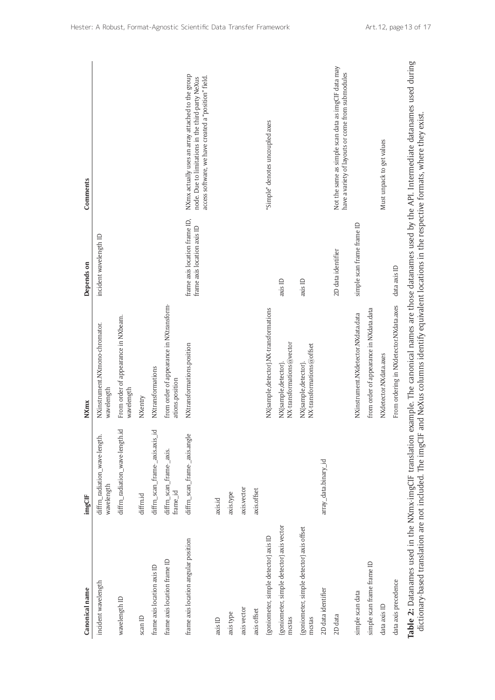| Canonical name                                                                                                      | imgCIF                                      | <b>NXmx</b>                                                                                  | Depends on                                                   | Comments                                                                                                                                                       |
|---------------------------------------------------------------------------------------------------------------------|---------------------------------------------|----------------------------------------------------------------------------------------------|--------------------------------------------------------------|----------------------------------------------------------------------------------------------------------------------------------------------------------------|
| incident wavelength                                                                                                 | diffrn_radiation_wave-length.<br>wavelength | NXinstrument.NXmono-chromator.<br>wavelength                                                 | incident wavelength ID                                       |                                                                                                                                                                |
| wavelength ID                                                                                                       | diffrn_radiation_wave-length.id             | From order of appearance in NXbeam.<br>wavelength                                            |                                                              |                                                                                                                                                                |
| $\operatorname{scan}$ ID                                                                                            | diffrn.id                                   | NXentry                                                                                      |                                                              |                                                                                                                                                                |
| frame axis location axis ID                                                                                         | diffrn_scan_frame-_axis.axis_id             | NXtransformations                                                                            |                                                              |                                                                                                                                                                |
| frame axis location frame ID                                                                                        | diffrn_scan_frame-_axis.<br>frame_id        | from order of appearance in NXtransform-<br>ations.position                                  |                                                              |                                                                                                                                                                |
| frame axis location angular position                                                                                | diffrn_scan_frame-_axis.angle               | NXtransformations.position                                                                   | frame axis location frame ID,<br>frame axis location axis ID | NXmx actually uses an array attached to the group<br>access software, we have created a "position" field.<br>node. Due to limitations in the third-party NeXus |
| axis ID                                                                                                             | axis.id                                     |                                                                                              |                                                              |                                                                                                                                                                |
| axis type                                                                                                           | axis.type                                   |                                                                                              |                                                              |                                                                                                                                                                |
| axis vector                                                                                                         | axis.vector                                 |                                                                                              |                                                              |                                                                                                                                                                |
| axis offset                                                                                                         | axis.offset                                 |                                                                                              |                                                              |                                                                                                                                                                |
| (goniometer, simple detector) axis ID                                                                               |                                             | NX{sample,detector}.NX-transformations                                                       |                                                              | "Simple" denotes uncoupled axes                                                                                                                                |
| {goniometer, simple detector} axis vector<br>mcstas                                                                 |                                             | NX-transformations@vector<br>NX{sample,detector}                                             | axis ID                                                      |                                                                                                                                                                |
| {goniometer, simple detector} axis offset<br>mcstas                                                                 |                                             | NX-transformations@offset<br>NX{sample,detector}.                                            | axis ID                                                      |                                                                                                                                                                |
| 2D data identifier                                                                                                  | array_data.binary_id                        |                                                                                              |                                                              |                                                                                                                                                                |
| 2D data                                                                                                             |                                             |                                                                                              | 2D data identifier                                           | Not the same as simple scan data as imgCIF data may<br>have a variety of layouts or come from submodules                                                       |
| simple scan data                                                                                                    |                                             | NXinstrument.NXdetector.NXdata.data                                                          | simple scan frame frame ID                                   |                                                                                                                                                                |
| simple scan frame frame ID                                                                                          |                                             | from order of appearance in NXdata.data                                                      |                                                              |                                                                                                                                                                |
| data axis ID                                                                                                        |                                             | NX detector. NX data.axes                                                                    |                                                              | Must unpack to get values                                                                                                                                      |
| data axis precedence                                                                                                |                                             | From ordering in NXdetector.NXdata.axes                                                      | data axis ID                                                 |                                                                                                                                                                |
| dictionary-based translation are not included. The imgCIF<br>Table 2: Datanames used in the NXmx-imgCIF translation |                                             | and NeXus columns identify equivalent locations in the respective formats, where they exist. |                                                              | example. The canonical names are those datanames used by the API. Intermediate datanames used during                                                           |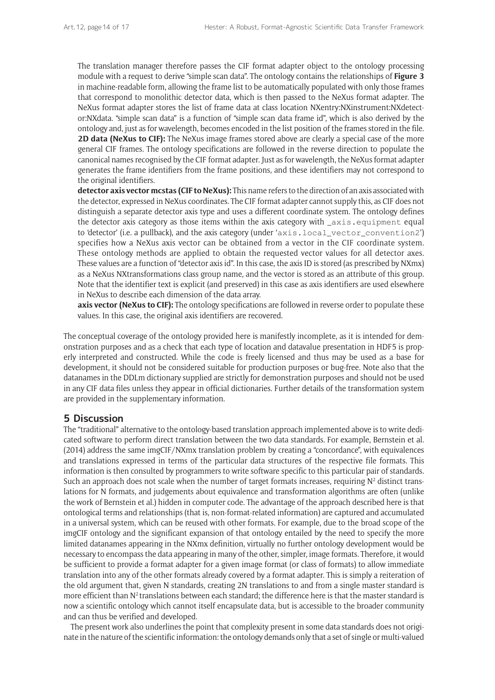The translation manager therefore passes the CIF format adapter object to the ontology processing module with a request to derive "simple scan data". The ontology contains the relationships of **Figure 3** in machine-readable form, allowing the frame list to be automatically populated with only those frames that correspond to monolithic detector data, which is then passed to the NeXus format adapter. The NeXus format adapter stores the list of frame data at class location NXentry:NXinstrument:NXdetector:NXdata. "simple scan data" is a function of "simple scan data frame id", which is also derived by the ontology and, just as for wavelength, becomes encoded in the list position of the frames stored in the file. **2D data (NeXus to CIF):** The NeXus image frames stored above are clearly a special case of the more general CIF frames. The ontology specifications are followed in the reverse direction to populate the canonical names recognised by the CIF format adapter. Just as for wavelength, the NeXus format adapter generates the frame identifiers from the frame positions, and these identifiers may not correspond to the original identifiers.

**detector axis vector mcstas (CIF to NeXus):** This name refers to the direction of an axis associated with the detector, expressed in NeXus coordinates. The CIF format adapter cannot supply this, as CIF does not distinguish a separate detector axis type and uses a different coordinate system. The ontology defines the detector axis category as those items within the axis category with \_axis.equipment equal to 'detector' (i.e. a pullback), and the axis category (under 'axis.local\_vector\_convention2') specifies how a NeXus axis vector can be obtained from a vector in the CIF coordinate system. These ontology methods are applied to obtain the requested vector values for all detector axes. These values are a function of "detector axis id". In this case, the axis ID is stored (as prescribed by NXmx) as a NeXus NXtransformations class group name, and the vector is stored as an attribute of this group. Note that the identifier text is explicit (and preserved) in this case as axis identifiers are used elsewhere in NeXus to describe each dimension of the data array.

**axis vector (NeXus to CIF):** The ontology specifications are followed in reverse order to populate these values. In this case, the original axis identifiers are recovered.

The conceptual coverage of the ontology provided here is manifestly incomplete, as it is intended for demonstration purposes and as a check that each type of location and datavalue presentation in HDF5 is properly interpreted and constructed. While the code is freely licensed and thus may be used as a base for development, it should not be considered suitable for production purposes or bug-free. Note also that the datanames in the DDLm dictionary supplied are strictly for demonstration purposes and should not be used in any CIF data files unless they appear in official dictionaries. Further details of the transformation system are provided in the supplementary information.

## **5 Discussion**

The "traditional" alternative to the ontology-based translation approach implemented above is to write dedicated software to perform direct translation between the two data standards. For example, Bernstein et al. (2014) address the same imgCIF/NXmx translation problem by creating a "concordance", with equivalences and translations expressed in terms of the particular data structures of the respective file formats. This information is then consulted by programmers to write software specific to this particular pair of standards. Such an approach does not scale when the number of target formats increases, requiring  $N^2$  distinct translations for N formats, and judgements about equivalence and transformation algorithms are often (unlike the work of Bernstein et al.) hidden in computer code. The advantage of the approach described here is that ontological terms and relationships (that is, non-format-related information) are captured and accumulated in a universal system, which can be reused with other formats. For example, due to the broad scope of the imgCIF ontology and the significant expansion of that ontology entailed by the need to specify the more limited datanames appearing in the NXmx definition, virtually no further ontology development would be necessary to encompass the data appearing in many of the other, simpler, image formats. Therefore, it would be sufficient to provide a format adapter for a given image format (or class of formats) to allow immediate translation into any of the other formats already covered by a format adapter. This is simply a reiteration of the old argument that, given N standards, creating 2N translations to and from a single master standard is more efficient than  $N^2$  translations between each standard; the difference here is that the master standard is now a scientific ontology which cannot itself encapsulate data, but is accessible to the broader community and can thus be verified and developed.

The present work also underlines the point that complexity present in some data standards does not originate in the nature of the scientific information: the ontology demands only that a set of single or multi-valued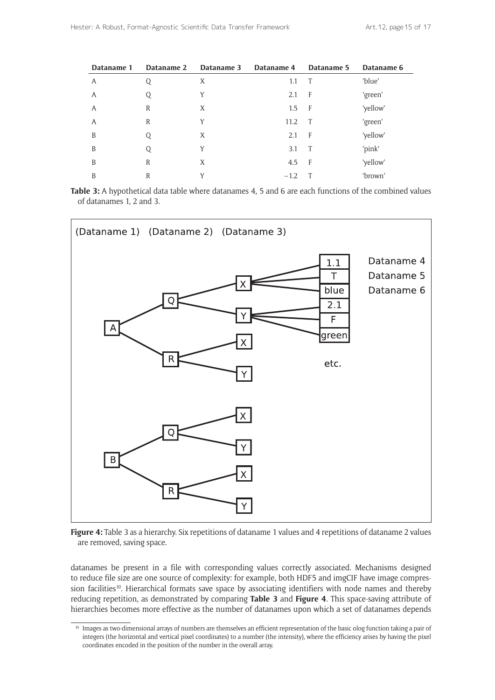| Dataname 1 | Dataname 2 | Dataname 3 | Dataname 4 | Dataname 5 | Dataname 6 |
|------------|------------|------------|------------|------------|------------|
| A          | Q          | X          | 1.1        | T          | 'blue'     |
| A          | Q          | Y          | 2.1        | - F        | 'green'    |
| A          | R          | X          | 1.5        | F          | 'yellow'   |
| A          | R          | Y          | 11.2       | T          | 'green'    |
| B          | Q          | X          | 2.1        | - F        | 'yellow'   |
| B          | Q          | Y          | 3.1        | T          | 'pink'     |
| B          | R          | X          | 4.5        | - F        | 'yellow'   |
| B          | R          | Y          | $-1.2$     |            | 'brown'    |

**Table 3:** A hypothetical data table where datanames 4, 5 and 6 are each functions of the combined values of datanames 1, 2 and 3.



**Figure 4:** Table 3 as a hierarchy. Six repetitions of dataname 1 values and 4 repetitions of dataname 2 values are removed, saving space.

datanames be present in a file with corresponding values correctly associated. Mechanisms designed to reduce file size are one source of complexity: for example, both HDF5 and imgCIF have image compression facilities<sup>10</sup>. Hierarchical formats save space by associating identifiers with node names and thereby reducing repetition, as demonstrated by comparing **Table 3** and **Figure 4**. This space-saving attribute of hierarchies becomes more effective as the number of datanames upon which a set of datanames depends

<sup>&</sup>lt;sup>10</sup> Images as two-dimensional arrays of numbers are themselves an efficient representation of the basic olog function taking a pair of integers (the horizontal and vertical pixel coordinates) to a number (the intensity), where the efficiency arises by having the pixel coordinates encoded in the position of the number in the overall array.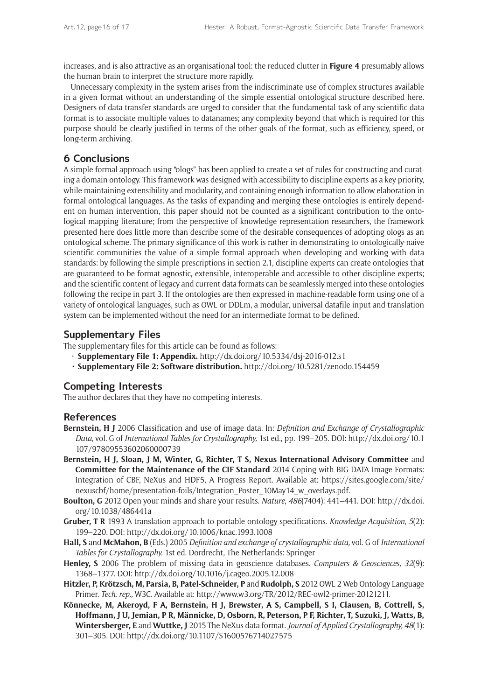increases, and is also attractive as an organisational tool: the reduced clutter in **Figure 4** presumably allows the human brain to interpret the structure more rapidly.

Unnecessary complexity in the system arises from the indiscriminate use of complex structures available in a given format without an understanding of the simple essential ontological structure described here. Designers of data transfer standards are urged to consider that the fundamental task of any scientific data format is to associate multiple values to datanames; any complexity beyond that which is required for this purpose should be clearly justified in terms of the other goals of the format, such as efficiency, speed, or long-term archiving.

# **6 Conclusions**

A simple formal approach using "ologs" has been applied to create a set of rules for constructing and curating a domain ontology. This framework was designed with accessibility to discipline experts as a key priority, while maintaining extensibility and modularity, and containing enough information to allow elaboration in formal ontological languages. As the tasks of expanding and merging these ontologies is entirely dependent on human intervention, this paper should not be counted as a significant contribution to the ontological mapping literature; from the perspective of knowledge representation researchers, the framework presented here does little more than describe some of the desirable consequences of adopting ologs as an ontological scheme. The primary significance of this work is rather in demonstrating to ontologically-naive scientific communities the value of a simple formal approach when developing and working with data standards: by following the simple prescriptions in section 2.1, discipline experts can create ontologies that are guaranteed to be format agnostic, extensible, interoperable and accessible to other discipline experts; and the scientific content of legacy and current data formats can be seamlessly merged into these ontologies following the recipe in part 3. If the ontologies are then expressed in machine-readable form using one of a variety of ontological languages, such as OWL or DDLm, a modular, universal datafile input and translation system can be implemented without the need for an intermediate format to be defined.

# **Supplementary Files**

The supplementary files for this article can be found as follows:

- **Supplementary File 1: Appendix.** <http://dx.doi.org/10.5334/dsj-2016-012.s1>
- **• Supplementary File 2: Software distribution.** <http://doi.org/10.5281/zenodo.154459>

# **Competing Interests**

The author declares that they have no competing interests.

## **References**

- **Bernstein, H J** 2006 Classification and use of image data. In: *Definition and Exchange of Crystallographic Data,* vol. G of *International Tables for Crystallography,* 1st ed., pp. 199–205. DOI: [http://dx.doi.org/10.1](http://dx.doi.org/10.1107/97809553602060000739) [107/97809553602060000739](http://dx.doi.org/10.1107/97809553602060000739)
- **Bernstein, H J, Sloan, J M, Winter, G, Richter, T S, Nexus International Advisory Committee** and **Committee for the Maintenance of the CIF Standard** 2014 Coping with BIG DATA Image Formats: Integration of CBF, NeXus and HDF5, A Progress Report. Available at: [https://sites.google.com/site/](https://sites.google.com/site/nexuscbf/home/presentation-foils/Integration_Poster_10May14_w_overlays.pdf) [nexuscbf/home/presentation-foils/Integration\\_Poster\\_10May14\\_w\\_overlays.pdf](https://sites.google.com/site/nexuscbf/home/presentation-foils/Integration_Poster_10May14_w_overlays.pdf)[.](https://sites.google.com/site/nexuscbf/home/ presentation-foils/Integration\_Poster\_10Mayl4\_w\_overlays.pdf.)
- **Boulton, G** 2012 Open your minds and share your results. *Nature, 486*(7404): 441–441. DOI: [http://dx.doi.](http://dx.doi.org/10.1038/486441a) [org/10.1038/486441a](http://dx.doi.org/10.1038/486441a)
- **Gruber, T R** 1993 A translation approach to portable ontology specifications. *Knowledge Acquisition, 5*(2): 199–220. DOI: <http://dx.doi.org/10.1006/knac.1993.1008>
- **Hall, S** and **McMahon, B** (Eds.) 2005 *Definition and exchange of crystallographic data,* vol. G of *International Tables for Crystallography.* 1st ed. Dordrecht, The Netherlands: Springer
- **Henley, S** 2006 The problem of missing data in geoscience databases. *Computers & Geosciences, 32*(9): 1368–1377. DOI: <http://dx.doi.org/10.1016/j.cageo.2005.12.008>
- **Hitzler, P, Krötzsch, M, Parsia, B, Patel-Schneider, P** and **Rudolph, S** 2012 OWL 2 Web Ontology Language Primer. *Tech. rep.,* W3C. Available at: [http://www.w3.org/TR/2012/REC-owl2-primer-20121211.](http://www.w3.org/TR/2012/REC-owl2-primer-20121211)
- **Könnecke, M, Akeroyd, F A, Bernstein, H J, Brewster, A S, Campbell, S I, Clausen, B, Cottrell, S, Hoffmann, J U, Jemian, P R, Männicke, D, Osborn, R, Peterson, P F, Richter, T, Suzuki, J, Watts, B, Wintersberger, E** and **Wuttke, J** 2015 The NeXus data format. *Journal of Applied Crystallography, 48*(1): 301–305. DOI: <http://dx.doi.org/10.1107/S1600576714027575>